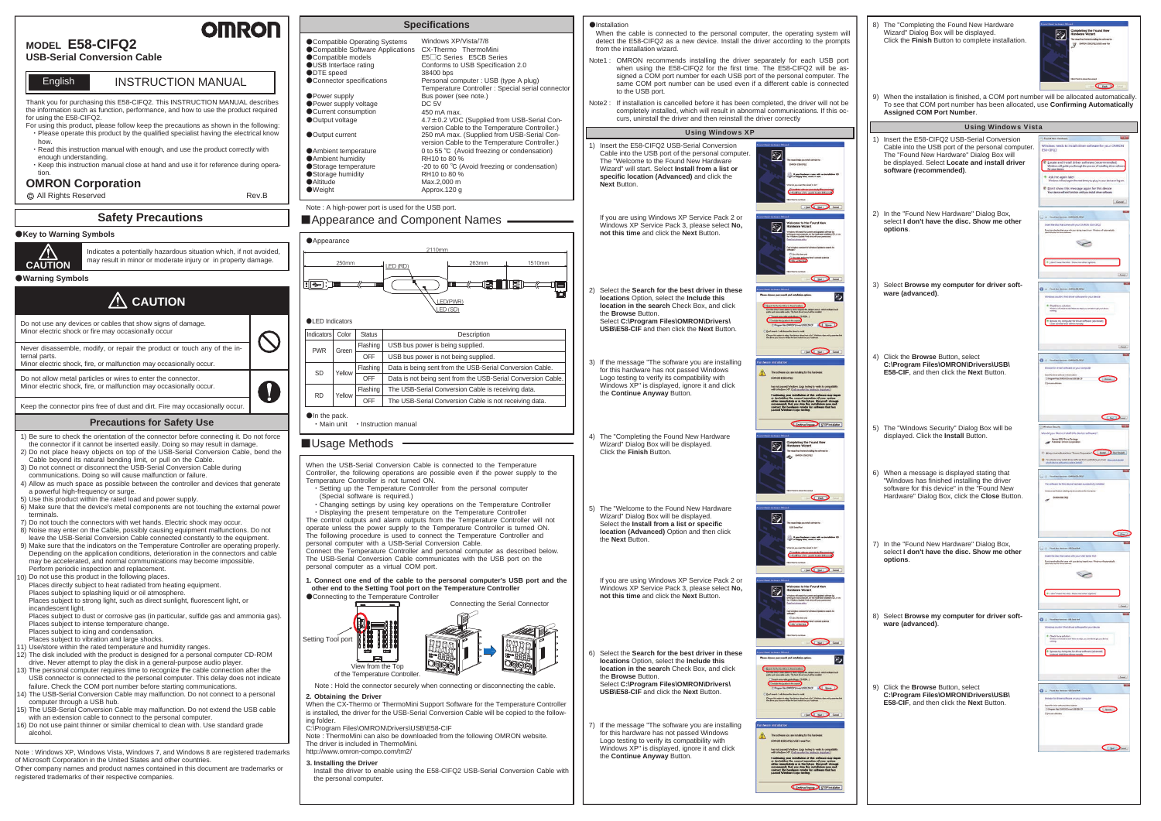## Thank you for purchasing this E58-CIFQ2. This INSTRUCTION MANUAL describes INSTRUCTION MANUAL**English**

- ・Please operate this product by the qualified specialist having the electrical know how.
- ・Read this instruction manual with enough, and use the product correctly with enough understanding.
- ・Keep this instruction manual close at hand and use it for reference during operation.

the information such as function, performance, and how to use the product required for using the E58-CIFQ2. For using this product, please follow keep the precautions as shown in the following:

All Rights Reserved

## **OMRON Corporation**

## **Safety Precautions**

## **MODEL E58-CIFQ2**

**USB-Serial Conversion Cable**

# ●**Key to Warning Symbols**

#### ■Appearance and Component Names – **Appearance** 2110mm 1510mm 263mm250mm LED (RD) E THE THE THE te<br>E  $\epsilon$   $\approx$   $\epsilon$ LED(PWR) LED (SD) ●LED IndicatorsColor Status **Description** Indicators USB bus power is being supplied. Flashing PWRGreenOFFUSB bus power is not being supplied. Data is being sent from the USB-Serial Conversion Cable. **Flashing** SDYellowOFFData is not being sent from the USB-Serial Conversion Cable. The USB-Serial Conversion Cable is receiving data. **Flashing** RDYellowOFFThe USB-Serial Conversion Cable is not receiving data. ●In the pack.

When the USB-Serial Conversion Cable is connected to the Temperature Controller, the following operations are possible even if the power supply to the Temperature Controller is not turned ON.

 ・Setting up the Temperature Controller from the personal computer (Special software is required.)

 ・Changing settings by using key operations on the Temperature Controller ・Displaying the present temperature on the Temperature Controller

The control outputs and alarm outputs from the Temperature Controller will not operate unless the power supply to the Temperature Controller is turned ON. The following procedure is used to connect the Temperature Controller and personal computer with a USB-Serial Conversion Cable. Connect the Temperature Controller and personal computer as described below. The USB-Serial Conversion Cable communicates with the USB port on the personal computer as a virtual COM port.

・Main unit ・Instruction manual

## ■ Usage Methods

#### **3. Installing the Driver**

Install the driver to enable using the E58-CIFQ2 USB-Serial Conversion Cable with the personal computer.

Rev.B

**OMROF** 



Contra Annual 13 STOP Instalation



## Note : A high-power port is used for the USB port.

**1. Connect one end of the cable to the personal computer's USB port and the other end to the Setting Tool port on the Temperature Controller**

| <b>Specifications</b>                   |                                                             |  |  |  |  |  |
|-----------------------------------------|-------------------------------------------------------------|--|--|--|--|--|
| Compatible Operating Systems            | Windows XP/Vista/7/8                                        |  |  |  |  |  |
| Compatible Software Applications        | CX-Thermo ThermoMini                                        |  |  |  |  |  |
| Compatible models                       | E5□C Series E5CB Series                                     |  |  |  |  |  |
| <b>OUSB Interface rating</b>            | Conforms to USB Specification 2.0                           |  |  |  |  |  |
| ODTE speed                              | 38400 bps                                                   |  |  |  |  |  |
| Connector specifications                | Personal computer: USB (type A plug)                        |  |  |  |  |  |
|                                         | Temperature Controller : Special serial connector           |  |  |  |  |  |
| ● Power supply                          | Bus power (see note.)                                       |  |  |  |  |  |
| ● Power supply voltage                  | DC 5V                                                       |  |  |  |  |  |
| Current consumption                     | 450 mA max.                                                 |  |  |  |  |  |
| ● Output voltage                        | 4.7±0.2 VDC (Supplied from USB-Serial Con-                  |  |  |  |  |  |
|                                         | version Cable to the Temperature Controller.)               |  |  |  |  |  |
| ● Output current                        | 250 mA max. (Supplied from USB-Serial Con-                  |  |  |  |  |  |
|                                         | version Cable to the Temperature Controller.)               |  |  |  |  |  |
| Ambient temperature                     | 0 to 55 °C (Avoid freezing or condensation)<br>RH10 to 80 % |  |  |  |  |  |
| Ambient humidity<br>Storage temperature | -20 to 60 °C (Avoid freezing or condensation)               |  |  |  |  |  |
| Storage humidity                        | RH10 to 80 %                                                |  |  |  |  |  |
| ●Altitude                               | Max.2,000 m                                                 |  |  |  |  |  |
| $\bullet$ Weight                        | Approx.120 q                                                |  |  |  |  |  |
|                                         |                                                             |  |  |  |  |  |
|                                         |                                                             |  |  |  |  |  |

When the CX-Thermo or ThermoMini Support Software for the Temperature Controller is installed, the driver for the USB-Serial Conversion Cable will be copied to the following folder.

C:\Program Files\OMRON\Drivers\USB\E58-CIF

Note : ThermoMini can also be downloaded from the following OMRON website. The driver is included in ThermoMini. http://www.omron-compo.com/tm2/

**2. Obtaining the Driver** Note : Hold the connector securely when connecting or disconnecting the cable.

Note : Windows XP, Windows Vista, Windows 7, and Windows 8 are registered trademarks of Microsoft Corporation in the United States and other countries.

Other company names and product names contained in this document are trademarks or registered trademarks of their respective companies.



8) The "Completing the Found New Hardware